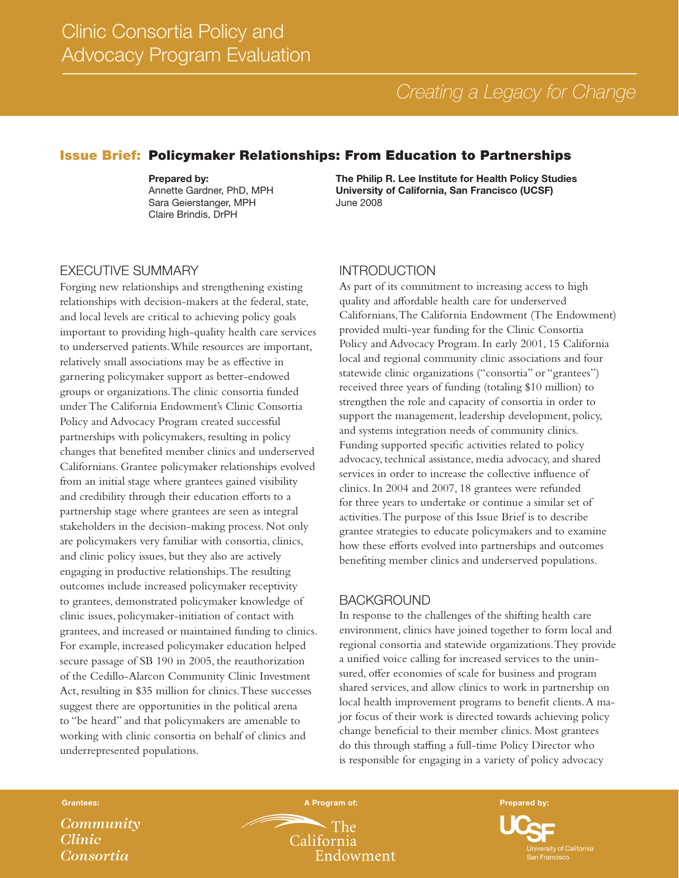# *Creating a Legacy for Change*

## Issue Brief: Policymaker Relationships: From Education to Partnerships

Prepared by: Annette Gardner, PhD, MPH Sara Geierstanger, MPH Claire Brindis, DrPH

The Philip R. Lee Institute for Health Policy Studies University of California, San Francisco (UCSF) June 2008

## EXECUTIVE SUMMARY

Forging new relationships and strengthening existing relationships with decision-makers at the federal, state, and local levels are critical to achieving policy goals important to providing high-quality health care services to underserved patients. While resources are important, relatively small associations may be as effective in garnering policymaker support as better-endowed groups or organizations. The clinic consortia funded under The California Endowment's Clinic Consortia Policy and Advocacy Program created successful partnerships with policymakers, resulting in policy changes that benefited member clinics and underserved Californians. Grantee policymaker relationships evolved from an initial stage where grantees gained visibility and credibility through their education efforts to a partnership stage where grantees are seen as integral stakeholders in the decision-making process. Not only are policymakers very familiar with consortia, clinics, and clinic policy issues, but they also are actively engaging in productive relationships. The resulting outcomes include increased policymaker receptivity to grantees, demonstrated policymaker knowledge of clinic issues, policymaker-initiation of contact with grantees, and increased or maintained funding to clinics. For example, increased policymaker education helped secure passage of SB 190 in 2005, the reauthorization of the Cedillo-Alarcon Community Clinic Investment Act, resulting in \$35 million for clinics. These successes suggest there are opportunities in the political arena to "be heard" and that policymakers are amenable to working with clinic consortia on behalf of clinics and underrepresented populations.

#### INTRODUCTION

As part of its commitment to increasing access to high quality and affordable health care for underserved Californians, The California Endowment (The Endowment) provided multi-year funding for the Clinic Consortia Policy and Advocacy Program. In early 2001, 15 California local and regional community clinic associations and four statewide clinic organizations ("consortia" or "grantees") received three years of funding (totaling \$10 million) to strengthen the role and capacity of consortia in order to support the management, leadership development, policy, and systems integration needs of community clinics. Funding supported specific activities related to policy advocacy, technical assistance, media advocacy, and shared services in order to increase the collective influence of clinics. In 2004 and 2007, 18 grantees were refunded for three years to undertake or continue a similar set of activities. The purpose of this Issue Brief is to describe grantee strategies to educate policymakers and to examine how these efforts evolved into partnerships and outcomes benefiting member clinics and underserved populations.

#### BACKGROUND

In response to the challenges of the shifting health care environment, clinics have joined together to form local and regional consortia and statewide organizations. They provide a unified voice calling for increased services to the uninsured, offer economies of scale for business and program shared services, and allow clinics to work in partnership on local health improvement programs to benefit clients. A major focus of their work is directed towards achieving policy change beneficial to their member clinics. Most grantees do this through staffing a full-time Policy Director who is responsible for engaging in a variety of policy advocacy

*Community Clinic Consortia*

**The** California Endowment

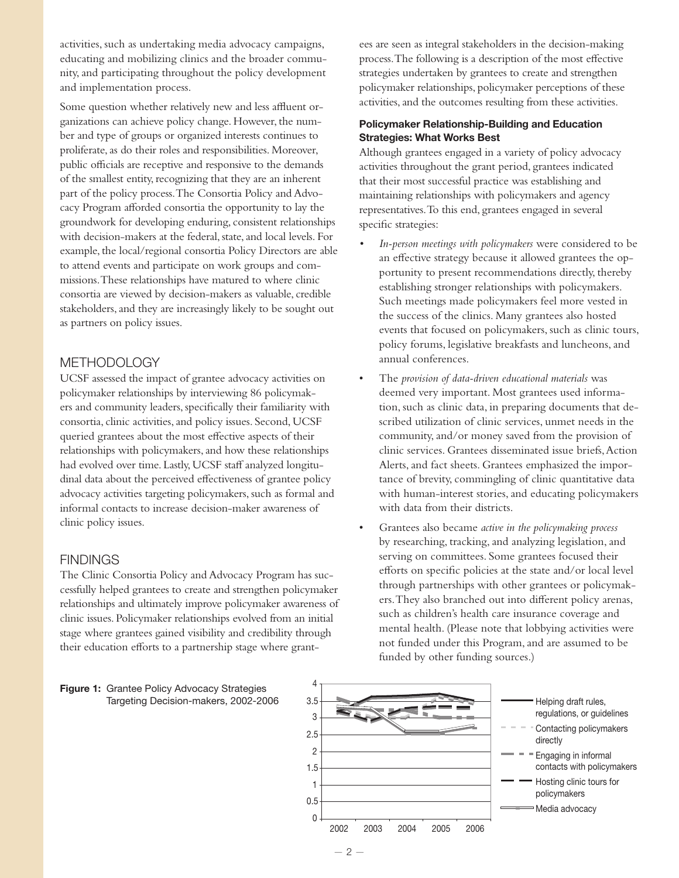activities, such as undertaking media advocacy campaigns, educating and mobilizing clinics and the broader community, and participating throughout the policy development and implementation process.

Some question whether relatively new and less affluent organizations can achieve policy change. However, the number and type of groups or organized interests continues to proliferate, as do their roles and responsibilities. Moreover, public officials are receptive and responsive to the demands of the smallest entity, recognizing that they are an inherent part of the policy process. The Consortia Policy and Advocacy Program afforded consortia the opportunity to lay the groundwork for developing enduring, consistent relationships with decision-makers at the federal, state, and local levels. For example, the local/regional consortia Policy Directors are able to attend events and participate on work groups and commissions. These relationships have matured to where clinic consortia are viewed by decision-makers as valuable, credible stakeholders, and they are increasingly likely to be sought out as partners on policy issues.

## METHODOLOGY

UCSF assessed the impact of grantee advocacy activities on policymaker relationships by interviewing 86 policymakers and community leaders, specifically their familiarity with consortia, clinic activities, and policy issues. Second, UCSF queried grantees about the most effective aspects of their relationships with policymakers, and how these relationships had evolved over time. Lastly, UCSF staff analyzed longitudinal data about the perceived effectiveness of grantee policy advocacy activities targeting policymakers, such as formal and informal contacts to increase decision-maker awareness of clinic policy issues.

## **FINDINGS**

The Clinic Consortia Policy and Advocacy Program has successfully helped grantees to create and strengthen policymaker relationships and ultimately improve policymaker awareness of clinic issues. Policymaker relationships evolved from an initial stage where grantees gained visibility and credibility through their education efforts to a partnership stage where grant-



ees are seen as integral stakeholders in the decision-making process. The following is a description of the most effective strategies undertaken by grantees to create and strengthen policymaker relationships, policymaker perceptions of these activities, and the outcomes resulting from these activities.

#### Policymaker Relationship-Building and Education Strategies: What Works Best

Although grantees engaged in a variety of policy advocacy activities throughout the grant period, grantees indicated that their most successful practice was establishing and maintaining relationships with policymakers and agency representatives. To this end, grantees engaged in several specific strategies:

- In-person meetings with policymakers were considered to be an effective strategy because it allowed grantees the opportunity to present recommendations directly, thereby establishing stronger relationships with policymakers. Such meetings made policymakers feel more vested in the success of the clinics. Many grantees also hosted events that focused on policymakers, such as clinic tours, policy forums, legislative breakfasts and luncheons, and annual conferences.
- The *provision of data-driven educational materials* was deemed very important. Most grantees used information, such as clinic data, in preparing documents that described utilization of clinic services, unmet needs in the community, and/or money saved from the provision of clinic services. Grantees disseminated issue briefs, Action Alerts, and fact sheets. Grantees emphasized the importance of brevity, commingling of clinic quantitative data with human-interest stories, and educating policymakers with data from their districts.
- Grantees also became *active in the policymaking process* by researching, tracking, and analyzing legislation, and serving on committees. Some grantees focused their efforts on specific policies at the state and/or local level through partnerships with other grantees or policymakers. They also branched out into different policy arenas, such as children's health care insurance coverage and mental health. (Please note that lobbying activities were not funded under this Program, and are assumed to be funded by other funding sources.)

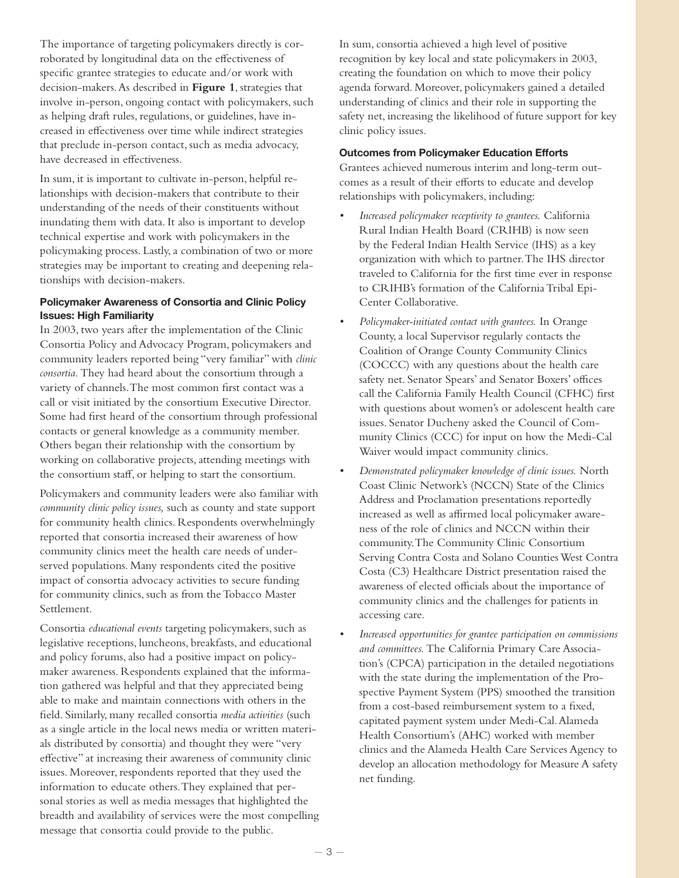The importance of targeting policymakers directly is corroborated by longitudinal data on the effectiveness of specific grantee strategies to educate and/or work with decision-makers. As described in **Figure 1**, strategies that involve in-person, ongoing contact with policymakers, such as helping draft rules, regulations, or guidelines, have increased in effectiveness over time while indirect strategies that preclude in-person contact, such as media advocacy, have decreased in effectiveness.

In sum, it is important to cultivate in-person, helpful relationships with decision-makers that contribute to their understanding of the needs of their constituents without inundating them with data. It also is important to develop technical expertise and work with policymakers in the policymaking process. Lastly, a combination of two or more strategies may be important to creating and deepening relationships with decision-makers.

#### Policymaker Awareness of Consortia and Clinic Policy Issues: High Familiarity

In 2003, two years after the implementation of the Clinic Consortia Policy and Advocacy Program, policymakers and community leaders reported being "very familiar" with *clinic consortia.* They had heard about the consortium through a variety of channels. The most common first contact was a call or visit initiated by the consortium Executive Director. Some had first heard of the consortium through professional contacts or general knowledge as a community member. Others began their relationship with the consortium by working on collaborative projects, attending meetings with the consortium staff, or helping to start the consortium.

Policymakers and community leaders were also familiar with *community clinic policy issues,* such as county and state support for community health clinics. Respondents overwhelmingly reported that consortia increased their awareness of how community clinics meet the health care needs of underserved populations. Many respondents cited the positive impact of consortia advocacy activities to secure funding for community clinics, such as from the Tobacco Master Settlement.

Consortia *educational events* targeting policymakers, such as legislative receptions, luncheons, breakfasts, and educational and policy forums, also had a positive impact on policymaker awareness. Respondents explained that the information gathered was helpful and that they appreciated being able to make and maintain connections with others in the field. Similarly, many recalled consortia *media activities* (such as a single article in the local news media or written materials distributed by consortia) and thought they were "very effective" at increasing their awareness of community clinic issues. Moreover, respondents reported that they used the information to educate others. They explained that personal stories as well as media messages that highlighted the breadth and availability of services were the most compelling message that consortia could provide to the public.

In sum, consortia achieved a high level of positive recognition by key local and state policymakers in 2003, creating the foundation on which to move their policy agenda forward. Moreover, policymakers gained a detailed understanding of clinics and their role in supporting the safety net, increasing the likelihood of future support for key clinic policy issues.

### Outcomes from Policymaker Education Efforts

Grantees achieved numerous interim and long-term outcomes as a result of their efforts to educate and develop relationships with policymakers, including:

- *Increased policymaker receptivity to grantees. California* Rural Indian Health Board (CRIHB) is now seen by the Federal Indian Health Service (IHS) as a key organization with which to partner. The IHS director traveled to California for the first time ever in response to CRIHB's formation of the California Tribal Epi-Center Collaborative.
- *Policymaker-initiated contact with grantees.* In Orange County, a local Supervisor regularly contacts the Coalition of Orange County Community Clinics (COCCC) with any questions about the health care safety net. Senator Spears' and Senator Boxers' offices call the California Family Health Council (CFHC) first with questions about women's or adolescent health care issues. Senator Ducheny asked the Council of Community Clinics (CCC) for input on how the Medi-Cal Waiver would impact community clinics.
- *• Demonstrated policymaker knowledge of clinic issues.* North Coast Clinic Network's (NCCN) State of the Clinics Address and Proclamation presentations reportedly increased as well as affirmed local policymaker awareness of the role of clinics and NCCN within their community. The Community Clinic Consortium Serving Contra Costa and Solano Counties West Contra Costa (C3) Healthcare District presentation raised the awareness of elected officials about the importance of community clinics and the challenges for patients in accessing care.
- Increased opportunities for grantee participation on commissions *and committees.* The California Primary Care Association's (CPCA) participation in the detailed negotiations with the state during the implementation of the Prospective Payment System (PPS) smoothed the transition from a cost-based reimbursement system to a fixed, capitated payment system under Medi-Cal. Alameda Health Consortium's (AHC) worked with member clinics and the Alameda Health Care Services Agency to develop an allocation methodology for Measure A safety net funding.